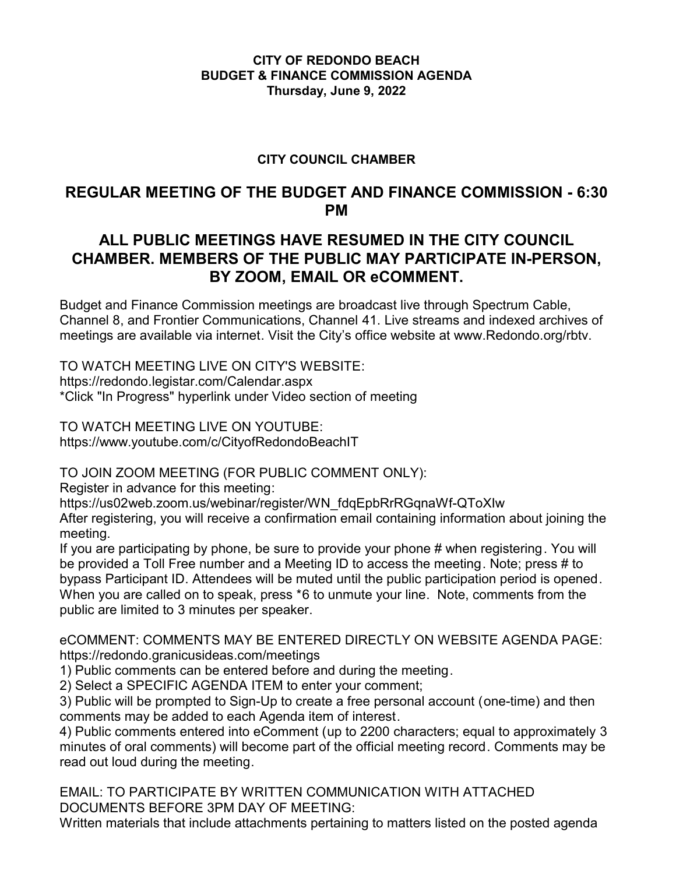## **CITY OF REDONDO BEACH BUDGET & FINANCE COMMISSION AGENDA Thursday, June 9, 2022**

## **CITY COUNCIL CHAMBER**

# **REGULAR MEETING OF THE BUDGET AND FINANCE COMMISSION - 6:30 PM**

# **ALL PUBLIC MEETINGS HAVE RESUMED IN THE CITY COUNCIL CHAMBER. MEMBERS OF THE PUBLIC MAY PARTICIPATE IN-PERSON, BY ZOOM, EMAIL OR eCOMMENT.**

Budget and Finance Commission meetings are broadcast live through Spectrum Cable, Channel 8, and Frontier Communications, Channel 41. Live streams and indexed archives of meetings are available via internet. Visit the City's office website at www.Redondo.org/rbtv.

TO WATCH MEETING LIVE ON CITY'S WEBSITE: https://redondo.legistar.com/Calendar.aspx \*Click "In Progress" hyperlink under Video section of meeting

TO WATCH MEETING LIVE ON YOUTUBE: https://www.youtube.com/c/CityofRedondoBeachIT

TO JOIN ZOOM MEETING (FOR PUBLIC COMMENT ONLY):

Register in advance for this meeting:

https://us02web.zoom.us/webinar/register/WN\_fdqEpbRrRGqnaWf-QToXIw

After registering, you will receive a confirmation email containing information about joining the meeting.

If you are participating by phone, be sure to provide your phone # when registering. You will be provided a Toll Free number and a Meeting ID to access the meeting. Note; press # to bypass Participant ID. Attendees will be muted until the public participation period is opened. When you are called on to speak, press \*6 to unmute your line. Note, comments from the public are limited to 3 minutes per speaker.

eCOMMENT: COMMENTS MAY BE ENTERED DIRECTLY ON WEBSITE AGENDA PAGE: https://redondo.granicusideas.com/meetings

1) Public comments can be entered before and during the meeting.

2) Select a SPECIFIC AGENDA ITEM to enter your comment;

3) Public will be prompted to Sign-Up to create a free personal account (one-time) and then comments may be added to each Agenda item of interest.

4) Public comments entered into eComment (up to 2200 characters; equal to approximately 3 minutes of oral comments) will become part of the official meeting record. Comments may be read out loud during the meeting.

EMAIL: TO PARTICIPATE BY WRITTEN COMMUNICATION WITH ATTACHED DOCUMENTS BEFORE 3PM DAY OF MEETING:

Written materials that include attachments pertaining to matters listed on the posted agenda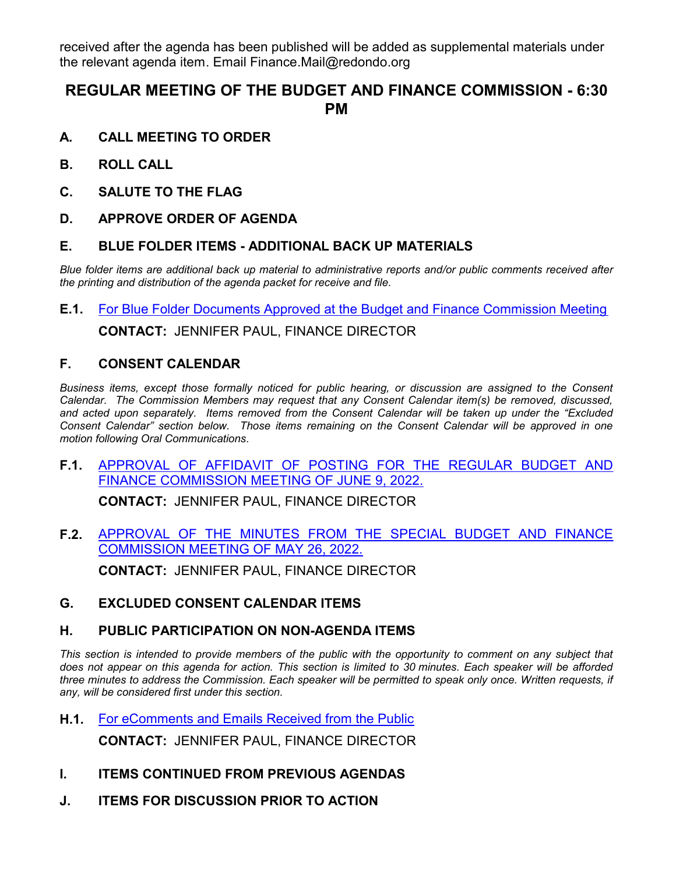received after the agenda has been published will be added as supplemental materials under the relevant agenda item. Email Finance.Mail@redondo.org

# **REGULAR MEETING OF THE BUDGET AND FINANCE COMMISSION - 6:30 PM**

- **A. CALL MEETING TO ORDER**
- **B. ROLL CALL**
- **C. SALUTE TO THE FLAG**
- **D. APPROVE ORDER OF AGENDA**

### **E. BLUE FOLDER ITEMS - ADDITIONAL BACK UP MATERIALS**

*Blue folder items are additional back up material to administrative reports and/or public comments received after the printing and distribution of the agenda packet for receive and file.*

**E.1.** [For Blue Folder Documents Approved at the Budget and Finance Commission Meeting](http://redondo.legistar.com/gateway.aspx?m=l&id=/matter.aspx?key=5829)

**CONTACT:** JENNIFER PAUL, FINANCE DIRECTOR

### **F. CONSENT CALENDAR**

*Business items, except those formally noticed for public hearing, or discussion are assigned to the Consent Calendar. The Commission Members may request that any Consent Calendar item(s) be removed, discussed, and acted upon separately. Items removed from the Consent Calendar will be taken up under the "Excluded Consent Calendar" section below. Those items remaining on the Consent Calendar will be approved in one motion following Oral Communications.*

**F.1.** [APPROVAL OF AFFIDAVIT OF POSTING FOR THE REGULAR BUDGET AND](http://redondo.legistar.com/gateway.aspx?m=l&id=/matter.aspx?key=5830) FINANCE COMMISSION MEETING OF JUNE 9, 2022.

**CONTACT:** JENNIFER PAUL, FINANCE DIRECTOR

**F.2.** [APPROVAL OF THE MINUTES FROM THE SPECIAL BUDGET AND FINANCE](http://redondo.legistar.com/gateway.aspx?m=l&id=/matter.aspx?key=5831) COMMISSION MEETING OF MAY 26, 2022.

**CONTACT:** JENNIFER PAUL, FINANCE DIRECTOR

**G. EXCLUDED CONSENT CALENDAR ITEMS**

#### **H. PUBLIC PARTICIPATION ON NON-AGENDA ITEMS**

This section is intended to provide members of the public with the opportunity to comment on any subject that *does not appear on this agenda for action. This section is limited to 30 minutes. Each speaker will be afforded three minutes to address the Commission. Each speaker will be permitted to speak only once. Written requests, if any, will be considered first under this section.*

**H.1.** [For eComments and Emails Received from the Public](http://redondo.legistar.com/gateway.aspx?m=l&id=/matter.aspx?key=5832)

**CONTACT:** JENNIFER PAUL, FINANCE DIRECTOR

- **I. ITEMS CONTINUED FROM PREVIOUS AGENDAS**
- **J. ITEMS FOR DISCUSSION PRIOR TO ACTION**